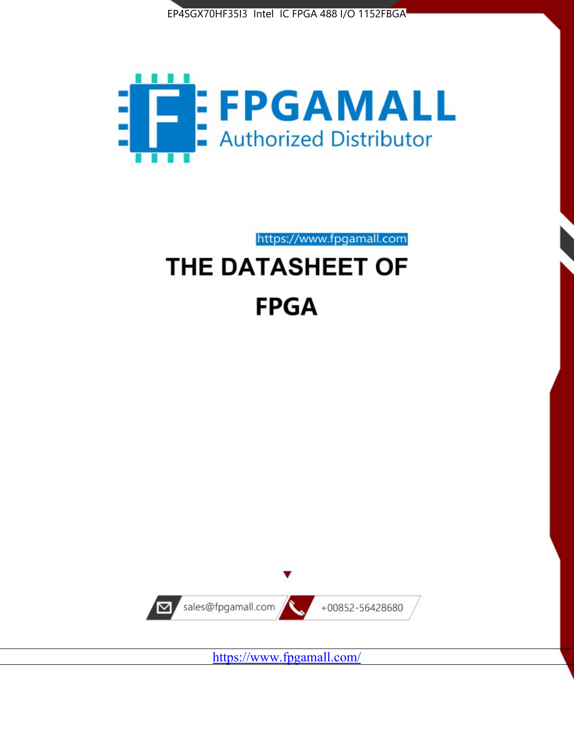



https://www.fpgamall.com THE DATASHEET OF

# **FPGA**



<https://www.fpgamall.com/>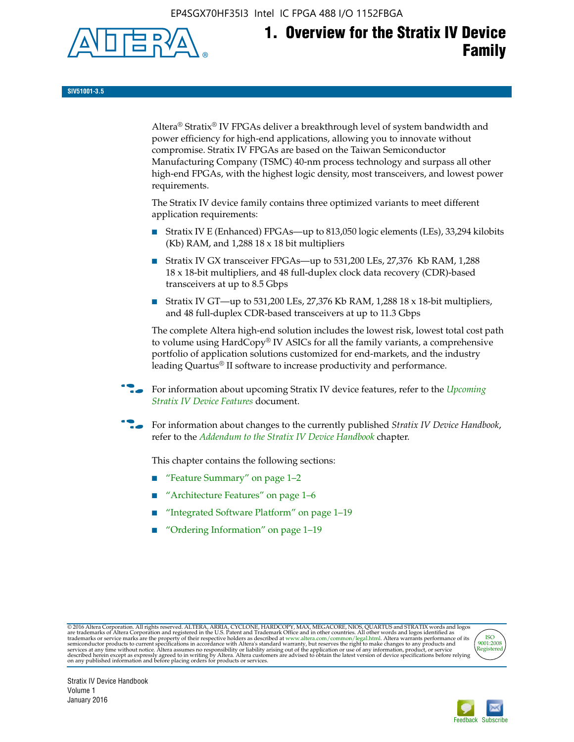EP4SGX70HF35I3 Intel IC FPGA 488 I/O 1152FBGA



# **1. Overview for the Stratix IV Device Family**

**SIV51001-3.5**

Altera® Stratix® IV FPGAs deliver a breakthrough level of system bandwidth and power efficiency for high-end applications, allowing you to innovate without compromise. Stratix IV FPGAs are based on the Taiwan Semiconductor Manufacturing Company (TSMC) 40-nm process technology and surpass all other high-end FPGAs, with the highest logic density, most transceivers, and lowest power requirements.

The Stratix IV device family contains three optimized variants to meet different application requirements:

- Stratix IV E (Enhanced) FPGAs—up to 813,050 logic elements (LEs), 33,294 kilobits (Kb) RAM, and 1,288 18 x 18 bit multipliers
- Stratix IV GX transceiver FPGAs—up to 531,200 LEs, 27,376 Kb RAM, 1,288 18 x 18-bit multipliers, and 48 full-duplex clock data recovery (CDR)-based transceivers at up to 8.5 Gbps
- Stratix IV GT—up to 531,200 LEs, 27,376 Kb RAM, 1,288 18 x 18-bit multipliers, and 48 full-duplex CDR-based transceivers at up to 11.3 Gbps

The complete Altera high-end solution includes the lowest risk, lowest total cost path to volume using HardCopy® IV ASICs for all the family variants, a comprehensive portfolio of application solutions customized for end-markets, and the industry leading Quartus® II software to increase productivity and performance.

f For information about upcoming Stratix IV device features, refer to the *[Upcoming](http://www.altera.com/literature/hb/stratix-iv/uf01001.pdf?GSA_pos=2&WT.oss_r=1&WT.oss=upcoming)  [Stratix IV Device Features](http://www.altera.com/literature/hb/stratix-iv/uf01001.pdf?GSA_pos=2&WT.oss_r=1&WT.oss=upcoming)* document.

f For information about changes to the currently published *Stratix IV Device Handbook*, refer to the *[Addendum to the Stratix IV Device Handbook](http://www.altera.com/literature/hb/stratix-iv/stx4_siv54002.pdf)* chapter.

This chapter contains the following sections:

- "Feature Summary" on page 1–2
- "Architecture Features" on page 1–6
- "Integrated Software Platform" on page 1–19
- "Ordering Information" on page 1–19

@2016 Altera Corporation. All rights reserved. ALTERA, ARRIA, CYCLONE, HARDCOPY, MAX, MEGACORE, NIOS, QUARTUS and STRATIX words and logos are trademarks of Altera Corporation and registered in the U.S. Patent and Trademark



Stratix IV Device Handbook Volume 1 January 2016

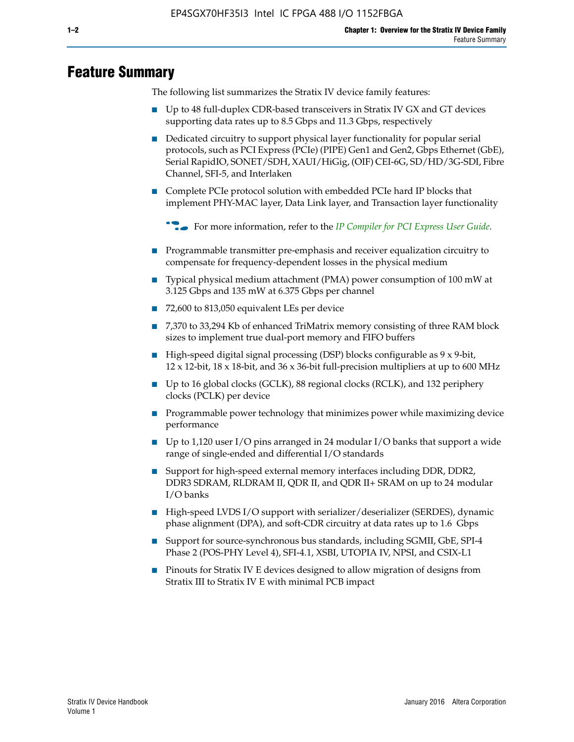# **Feature Summary**

The following list summarizes the Stratix IV device family features:

- Up to 48 full-duplex CDR-based transceivers in Stratix IV GX and GT devices supporting data rates up to 8.5 Gbps and 11.3 Gbps, respectively
- Dedicated circuitry to support physical layer functionality for popular serial protocols, such as PCI Express (PCIe) (PIPE) Gen1 and Gen2, Gbps Ethernet (GbE), Serial RapidIO, SONET/SDH, XAUI/HiGig, (OIF) CEI-6G, SD/HD/3G-SDI, Fibre Channel, SFI-5, and Interlaken
- Complete PCIe protocol solution with embedded PCIe hard IP blocks that implement PHY-MAC layer, Data Link layer, and Transaction layer functionality

**For more information, refer to the** *[IP Compiler for PCI Express User Guide](http://www.altera.com/literature/ug/ug_pci_express.pdf)***.** 

- Programmable transmitter pre-emphasis and receiver equalization circuitry to compensate for frequency-dependent losses in the physical medium
- Typical physical medium attachment (PMA) power consumption of 100 mW at 3.125 Gbps and 135 mW at 6.375 Gbps per channel
- 72,600 to 813,050 equivalent LEs per device
- 7,370 to 33,294 Kb of enhanced TriMatrix memory consisting of three RAM block sizes to implement true dual-port memory and FIFO buffers
- High-speed digital signal processing (DSP) blocks configurable as 9 x 9-bit,  $12 \times 12$ -bit,  $18 \times 18$ -bit, and  $36 \times 36$ -bit full-precision multipliers at up to 600 MHz
- Up to 16 global clocks (GCLK), 88 regional clocks (RCLK), and 132 periphery clocks (PCLK) per device
- Programmable power technology that minimizes power while maximizing device performance
- Up to 1,120 user I/O pins arranged in 24 modular I/O banks that support a wide range of single-ended and differential I/O standards
- Support for high-speed external memory interfaces including DDR, DDR2, DDR3 SDRAM, RLDRAM II, QDR II, and QDR II+ SRAM on up to 24 modular I/O banks
- High-speed LVDS I/O support with serializer/deserializer (SERDES), dynamic phase alignment (DPA), and soft-CDR circuitry at data rates up to 1.6 Gbps
- Support for source-synchronous bus standards, including SGMII, GbE, SPI-4 Phase 2 (POS-PHY Level 4), SFI-4.1, XSBI, UTOPIA IV, NPSI, and CSIX-L1
- Pinouts for Stratix IV E devices designed to allow migration of designs from Stratix III to Stratix IV E with minimal PCB impact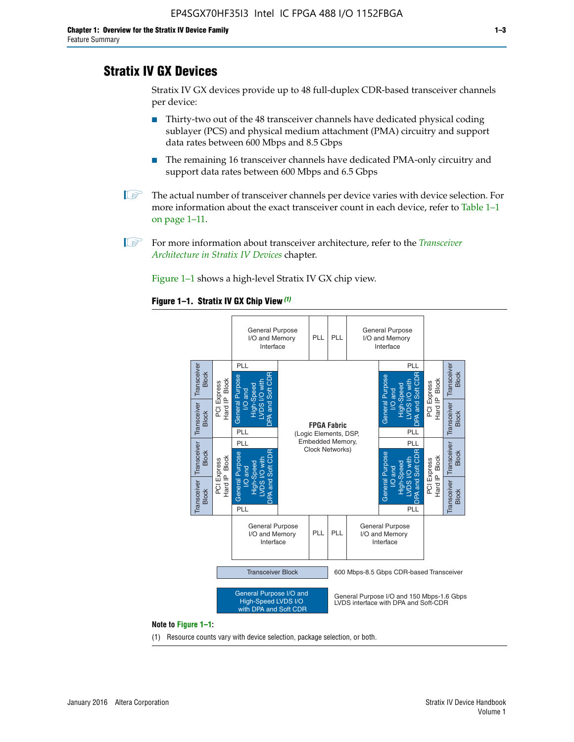# **Stratix IV GX Devices**

Stratix IV GX devices provide up to 48 full-duplex CDR-based transceiver channels per device:

- Thirty-two out of the 48 transceiver channels have dedicated physical coding sublayer (PCS) and physical medium attachment (PMA) circuitry and support data rates between 600 Mbps and 8.5 Gbps
- The remaining 16 transceiver channels have dedicated PMA-only circuitry and support data rates between 600 Mbps and 6.5 Gbps
- **1 The actual number of transceiver channels per device varies with device selection. For** more information about the exact transceiver count in each device, refer to Table 1–1 on page 1–11.
- 1 For more information about transceiver architecture, refer to the *[Transceiver](http://www.altera.com/literature/hb/stratix-iv/stx4_siv52001.pdf)  [Architecture in Stratix IV Devices](http://www.altera.com/literature/hb/stratix-iv/stx4_siv52001.pdf)* chapter.

Figure 1–1 shows a high-level Stratix IV GX chip view.

#### **Figure 1–1. Stratix IV GX Chip View** *(1)*



#### **Note to Figure 1–1:**

(1) Resource counts vary with device selection, package selection, or both.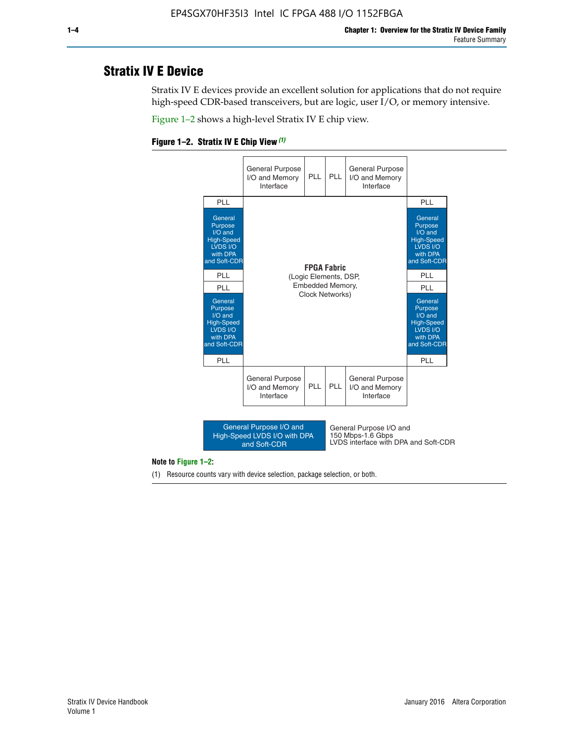# **Stratix IV E Device**

Stratix IV E devices provide an excellent solution for applications that do not require high-speed CDR-based transceivers, but are logic, user I/O, or memory intensive.

Figure 1–2 shows a high-level Stratix IV E chip view.





#### **Note to Figure 1–2:**

(1) Resource counts vary with device selection, package selection, or both.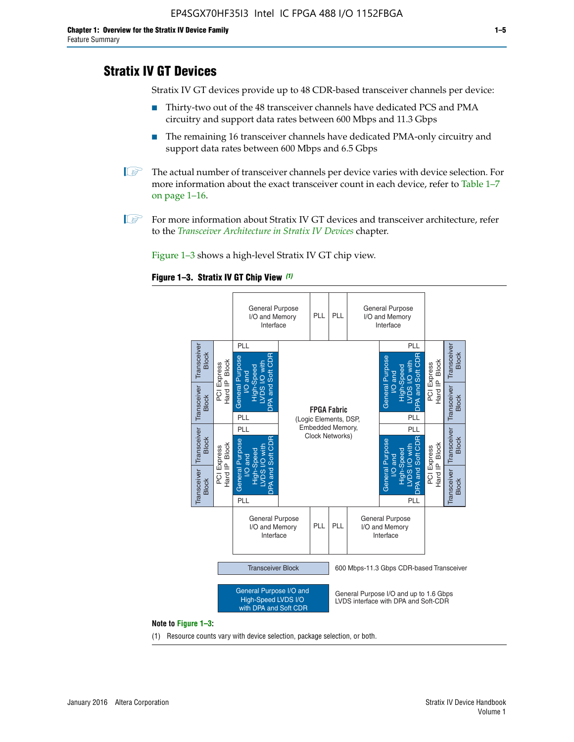# **Stratix IV GT Devices**

Stratix IV GT devices provide up to 48 CDR-based transceiver channels per device:

- Thirty-two out of the 48 transceiver channels have dedicated PCS and PMA circuitry and support data rates between 600 Mbps and 11.3 Gbps
- The remaining 16 transceiver channels have dedicated PMA-only circuitry and support data rates between 600 Mbps and 6.5 Gbps
- **1** The actual number of transceiver channels per device varies with device selection. For more information about the exact transceiver count in each device, refer to Table 1–7 on page 1–16.
- $\mathbb{I}$  For more information about Stratix IV GT devices and transceiver architecture, refer to the *[Transceiver Architecture in Stratix IV Devices](http://www.altera.com/literature/hb/stratix-iv/stx4_siv52001.pdf)* chapter.

Figure 1–3 shows a high-level Stratix IV GT chip view.

#### **Figure 1–3. Stratix IV GT Chip View** *(1)*



(1) Resource counts vary with device selection, package selection, or both.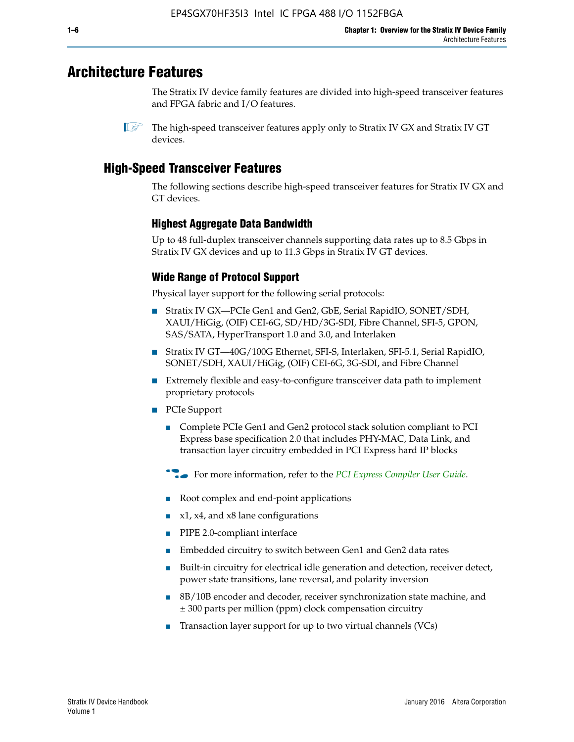# **Architecture Features**

The Stratix IV device family features are divided into high-speed transceiver features and FPGA fabric and I/O features.

 $\mathbb{I}$  The high-speed transceiver features apply only to Stratix IV GX and Stratix IV GT devices.

# **High-Speed Transceiver Features**

The following sections describe high-speed transceiver features for Stratix IV GX and GT devices.

## **Highest Aggregate Data Bandwidth**

Up to 48 full-duplex transceiver channels supporting data rates up to 8.5 Gbps in Stratix IV GX devices and up to 11.3 Gbps in Stratix IV GT devices.

## **Wide Range of Protocol Support**

Physical layer support for the following serial protocols:

- Stratix IV GX—PCIe Gen1 and Gen2, GbE, Serial RapidIO, SONET/SDH, XAUI/HiGig, (OIF) CEI-6G, SD/HD/3G-SDI, Fibre Channel, SFI-5, GPON, SAS/SATA, HyperTransport 1.0 and 3.0, and Interlaken
- Stratix IV GT—40G/100G Ethernet, SFI-S, Interlaken, SFI-5.1, Serial RapidIO, SONET/SDH, XAUI/HiGig, (OIF) CEI-6G, 3G-SDI, and Fibre Channel
- Extremely flexible and easy-to-configure transceiver data path to implement proprietary protocols
- PCIe Support
	- Complete PCIe Gen1 and Gen2 protocol stack solution compliant to PCI Express base specification 2.0 that includes PHY-MAC, Data Link, and transaction layer circuitry embedded in PCI Express hard IP blocks
	- **For more information, refer to the [PCI Express Compiler User Guide](http://www.altera.com/literature/ug/ug_pci_express.pdf).**
	- Root complex and end-point applications
	- $x1, x4,$  and  $x8$  lane configurations
	- PIPE 2.0-compliant interface
	- Embedded circuitry to switch between Gen1 and Gen2 data rates
	- Built-in circuitry for electrical idle generation and detection, receiver detect, power state transitions, lane reversal, and polarity inversion
	- 8B/10B encoder and decoder, receiver synchronization state machine, and ± 300 parts per million (ppm) clock compensation circuitry
	- Transaction layer support for up to two virtual channels (VCs)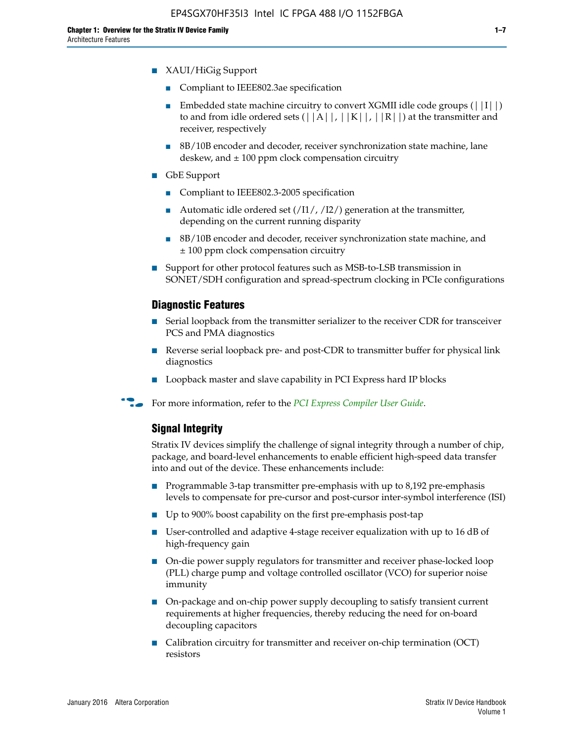- XAUI/HiGig Support
	- Compliant to IEEE802.3ae specification
	- **■** Embedded state machine circuitry to convert XGMII idle code groups  $(|11|)$ to and from idle ordered sets  $(|A|, |K|, |R|)$  at the transmitter and receiver, respectively
	- 8B/10B encoder and decoder, receiver synchronization state machine, lane deskew, and  $\pm 100$  ppm clock compensation circuitry
- GbE Support
	- Compliant to IEEE802.3-2005 specification
	- Automatic idle ordered set  $(111/112/1)$  generation at the transmitter, depending on the current running disparity
	- 8B/10B encoder and decoder, receiver synchronization state machine, and ± 100 ppm clock compensation circuitry
- Support for other protocol features such as MSB-to-LSB transmission in SONET/SDH configuration and spread-spectrum clocking in PCIe configurations

#### **Diagnostic Features**

- Serial loopback from the transmitter serializer to the receiver CDR for transceiver PCS and PMA diagnostics
- Reverse serial loopback pre- and post-CDR to transmitter buffer for physical link diagnostics
- Loopback master and slave capability in PCI Express hard IP blocks
- **For more information, refer to the** *[PCI Express Compiler User Guide](http://www.altera.com/literature/ug/ug_pci_express.pdf)***.**

#### **Signal Integrity**

Stratix IV devices simplify the challenge of signal integrity through a number of chip, package, and board-level enhancements to enable efficient high-speed data transfer into and out of the device. These enhancements include:

- Programmable 3-tap transmitter pre-emphasis with up to 8,192 pre-emphasis levels to compensate for pre-cursor and post-cursor inter-symbol interference (ISI)
- Up to 900% boost capability on the first pre-emphasis post-tap
- User-controlled and adaptive 4-stage receiver equalization with up to 16 dB of high-frequency gain
- On-die power supply regulators for transmitter and receiver phase-locked loop (PLL) charge pump and voltage controlled oscillator (VCO) for superior noise immunity
- On-package and on-chip power supply decoupling to satisfy transient current requirements at higher frequencies, thereby reducing the need for on-board decoupling capacitors
- Calibration circuitry for transmitter and receiver on-chip termination (OCT) resistors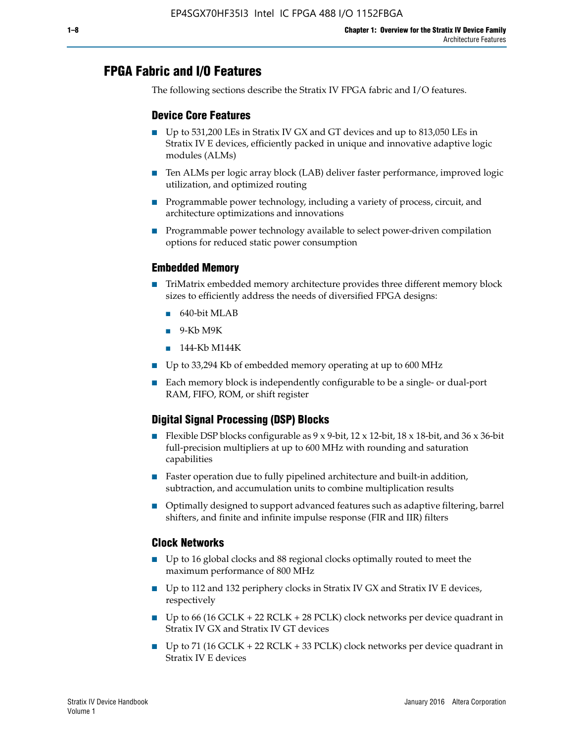# **FPGA Fabric and I/O Features**

The following sections describe the Stratix IV FPGA fabric and I/O features.

## **Device Core Features**

- Up to 531,200 LEs in Stratix IV GX and GT devices and up to 813,050 LEs in Stratix IV E devices, efficiently packed in unique and innovative adaptive logic modules (ALMs)
- Ten ALMs per logic array block (LAB) deliver faster performance, improved logic utilization, and optimized routing
- Programmable power technology, including a variety of process, circuit, and architecture optimizations and innovations
- Programmable power technology available to select power-driven compilation options for reduced static power consumption

#### **Embedded Memory**

- TriMatrix embedded memory architecture provides three different memory block sizes to efficiently address the needs of diversified FPGA designs:
	- 640-bit MLAB
	- 9-Kb M9K
	- 144-Kb M144K
- Up to 33,294 Kb of embedded memory operating at up to 600 MHz
- Each memory block is independently configurable to be a single- or dual-port RAM, FIFO, ROM, or shift register

## **Digital Signal Processing (DSP) Blocks**

- Flexible DSP blocks configurable as  $9 \times 9$ -bit,  $12 \times 12$ -bit,  $18 \times 18$ -bit, and  $36 \times 36$ -bit full-precision multipliers at up to 600 MHz with rounding and saturation capabilities
- Faster operation due to fully pipelined architecture and built-in addition, subtraction, and accumulation units to combine multiplication results
- Optimally designed to support advanced features such as adaptive filtering, barrel shifters, and finite and infinite impulse response (FIR and IIR) filters

#### **Clock Networks**

- Up to 16 global clocks and 88 regional clocks optimally routed to meet the maximum performance of 800 MHz
- Up to 112 and 132 periphery clocks in Stratix IV GX and Stratix IV E devices, respectively
- Up to 66 (16 GCLK + 22 RCLK + 28 PCLK) clock networks per device quadrant in Stratix IV GX and Stratix IV GT devices
- Up to 71 (16 GCLK + 22 RCLK + 33 PCLK) clock networks per device quadrant in Stratix IV E devices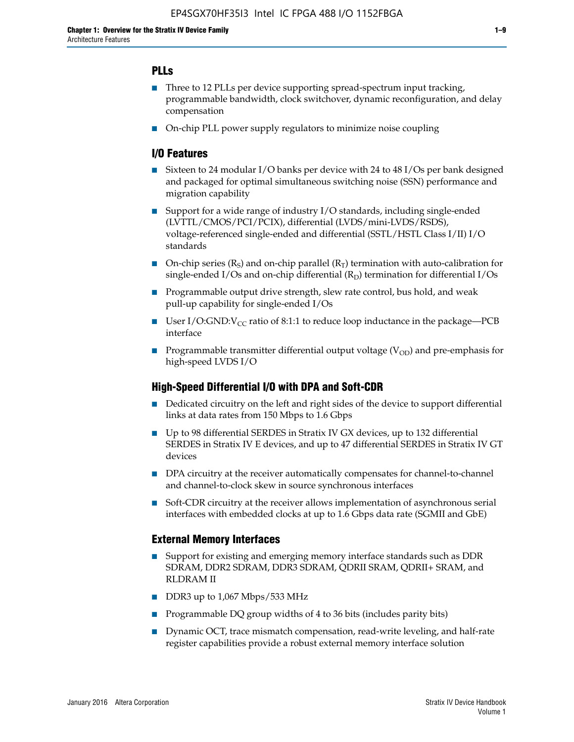## **PLLs**

- Three to 12 PLLs per device supporting spread-spectrum input tracking, programmable bandwidth, clock switchover, dynamic reconfiguration, and delay compensation
- On-chip PLL power supply regulators to minimize noise coupling

### **I/O Features**

- Sixteen to 24 modular I/O banks per device with 24 to 48 I/Os per bank designed and packaged for optimal simultaneous switching noise (SSN) performance and migration capability
- Support for a wide range of industry I/O standards, including single-ended (LVTTL/CMOS/PCI/PCIX), differential (LVDS/mini-LVDS/RSDS), voltage-referenced single-ended and differential (SSTL/HSTL Class I/II) I/O standards
- **O**n-chip series  $(R_S)$  and on-chip parallel  $(R_T)$  termination with auto-calibration for single-ended I/Os and on-chip differential  $(R_D)$  termination for differential I/Os
- Programmable output drive strength, slew rate control, bus hold, and weak pull-up capability for single-ended I/Os
- User I/O:GND: $V_{CC}$  ratio of 8:1:1 to reduce loop inductance in the package—PCB interface
- **■** Programmable transmitter differential output voltage ( $V_{OD}$ ) and pre-emphasis for high-speed LVDS I/O

#### **High-Speed Differential I/O with DPA and Soft-CDR**

- Dedicated circuitry on the left and right sides of the device to support differential links at data rates from 150 Mbps to 1.6 Gbps
- Up to 98 differential SERDES in Stratix IV GX devices, up to 132 differential SERDES in Stratix IV E devices, and up to 47 differential SERDES in Stratix IV GT devices
- DPA circuitry at the receiver automatically compensates for channel-to-channel and channel-to-clock skew in source synchronous interfaces
- Soft-CDR circuitry at the receiver allows implementation of asynchronous serial interfaces with embedded clocks at up to 1.6 Gbps data rate (SGMII and GbE)

#### **External Memory Interfaces**

- Support for existing and emerging memory interface standards such as DDR SDRAM, DDR2 SDRAM, DDR3 SDRAM, QDRII SRAM, QDRII+ SRAM, and RLDRAM II
- DDR3 up to 1,067 Mbps/533 MHz
- Programmable DQ group widths of 4 to 36 bits (includes parity bits)
- Dynamic OCT, trace mismatch compensation, read-write leveling, and half-rate register capabilities provide a robust external memory interface solution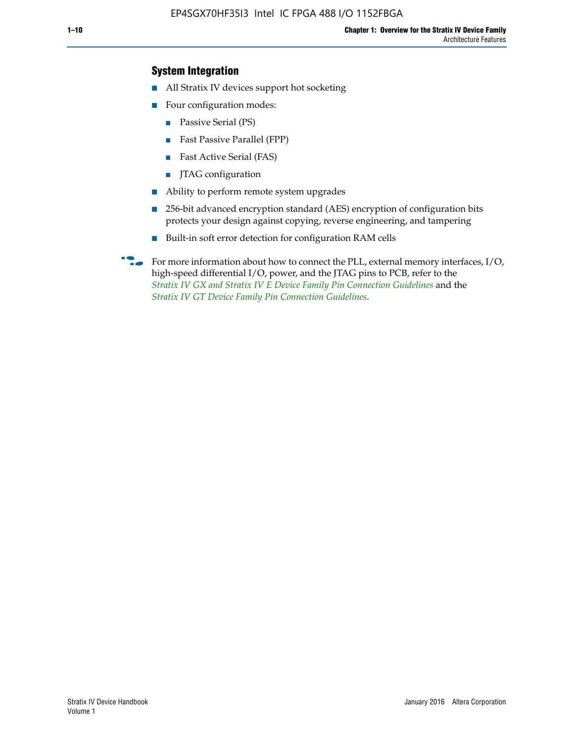## **System Integration**

- All Stratix IV devices support hot socketing
- Four configuration modes:
	- Passive Serial (PS)
	- Fast Passive Parallel (FPP)
	- Fast Active Serial (FAS)
	- JTAG configuration
- Ability to perform remote system upgrades
- 256-bit advanced encryption standard (AES) encryption of configuration bits protects your design against copying, reverse engineering, and tampering
- Built-in soft error detection for configuration RAM cells
- For more information about how to connect the PLL, external memory interfaces,  $I/O$ , high-speed differential I/O, power, and the JTAG pins to PCB, refer to the *[Stratix IV GX and Stratix IV E Device Family Pin Connection Guidelines](http://www.altera.com/literature/dp/stratix4/PCG-01005.pdf)* and the *[Stratix IV GT Device Family Pin Connection Guidelines](http://www.altera.com/literature/dp/stratix4/PCG-01006.pdf)*.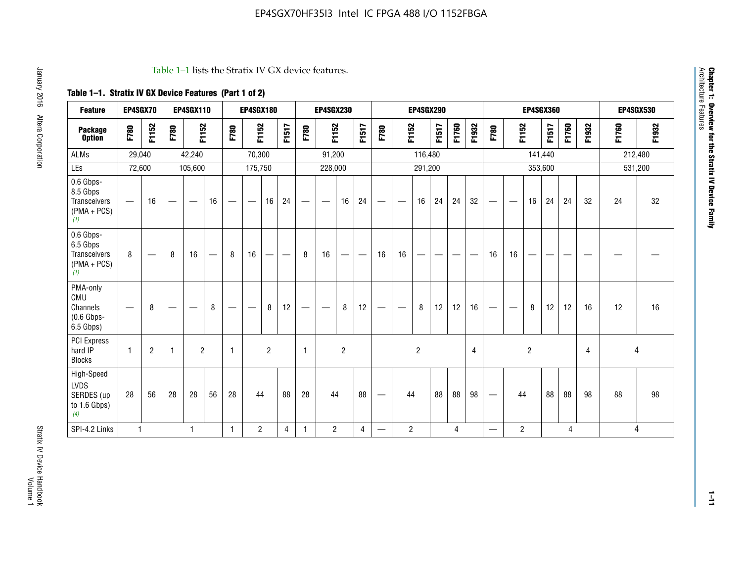#### Table 1–1 lists the Stratix IV GX device features.

## **Table 1–1. Stratix IV GX Device Features (Part 1 of 2)**

| <b>Feature</b>                                                       | EP4SGX70                       |                |                                  | <b>EP4SGX110</b> |    |                                | <b>EP4SGX180</b>               |                |       |              | <b>EP4SGX230</b>         |                          |                               |      |                | <b>EP4SGX290</b> |       |       |       |                          |                   |                | <b>EP4SGX360</b> |       |       |         | <b>EP4SGX530</b> |
|----------------------------------------------------------------------|--------------------------------|----------------|----------------------------------|------------------|----|--------------------------------|--------------------------------|----------------|-------|--------------|--------------------------|--------------------------|-------------------------------|------|----------------|------------------|-------|-------|-------|--------------------------|-------------------|----------------|------------------|-------|-------|---------|------------------|
| <b>Package</b><br><b>Option</b>                                      | F780                           | F1152          | F780                             | F1152            |    | F780                           | F1152                          |                | F1517 | F780         | F1152                    |                          | F1517                         | F780 | F1152          |                  | F1517 | F1760 | F1932 | F780                     | F1152             |                | F1517            | F1760 | F1932 | F1760   | F1932            |
| ALMs                                                                 | 29,040                         |                |                                  | 42,240           |    |                                | 70,300                         |                |       |              | 91,200                   |                          |                               |      |                | 116,480          |       |       |       |                          |                   |                | 141,440          |       |       | 212,480 |                  |
| LEs                                                                  | 72,600                         |                |                                  | 105,600          |    |                                | 175,750                        |                |       |              | 228,000                  |                          |                               |      |                | 291,200          |       |       |       |                          |                   |                | 353,600          |       |       |         | 531,200          |
| 0.6 Gbps-<br>8.5 Gbps<br>Transceivers<br>$(PMA + PCs)$<br>(1)        | $\overline{\phantom{0}}$       | 16             |                                  |                  | 16 |                                | $\qquad \qquad \longleftarrow$ | 16             | 24    |              |                          | 16                       | 24                            |      |                | 16               | 24    | 24    | 32    | $\overline{\phantom{0}}$ |                   | 16             | 24               | 24    | 32    | 24      | 32               |
| 0.6 Gbps-<br>6.5 Gbps<br><b>Transceivers</b><br>$(PMA + PCs)$<br>(1) | 8                              |                | 8                                | 16               | –  | 8                              | 16                             | -              |       | 8            | 16                       | $\overline{\phantom{0}}$ | $\overbrace{\phantom{aaaaa}}$ | 16   | 16             |                  | -     |       |       | 16                       | 16                |                |                  |       |       |         |                  |
| PMA-only<br>CMU<br>Channels<br>$(0.6$ Gbps-<br>6.5 Gbps)             | $\qquad \qquad \longleftarrow$ | 8              | $\overbrace{\phantom{12322111}}$ |                  | 8  | $\qquad \qquad \longleftarrow$ |                                | 8              | 12    | -            | $\overline{\phantom{a}}$ | 8                        | 12                            |      |                | 8                | 12    | 12    | 16    | $\overline{\phantom{0}}$ | $\hspace{0.05cm}$ | 8              | 12               | 12    | 16    | 12      | 16               |
| PCI Express<br>hard IP<br><b>Blocks</b>                              | $\mathbf{1}$                   | $\overline{2}$ |                                  | $\overline{2}$   |    | 1                              |                                | $\overline{2}$ |       | $\mathbf{1}$ |                          | $\overline{c}$           |                               |      |                | $\overline{c}$   |       |       | 4     |                          |                   | $\overline{2}$ |                  |       | 4     |         | 4                |
| High-Speed<br>LVDS<br>SERDES (up<br>to 1.6 Gbps)<br>(4)              | 28                             | 56             | 28                               | 28               | 56 | 28                             | 44                             |                | 88    | 28           | 44                       |                          | 88                            | —    | 44             |                  | 88    | 88    | 98    |                          | 44                |                | 88               | 88    | 98    | 88      | 98               |
| SPI-4.2 Links                                                        | $\mathbf{1}$                   |                |                                  | 1                |    | $\mathbf{1}$                   | $\overline{c}$                 |                | 4     | 1            | $\overline{c}$           |                          | $\overline{4}$                | —    | $\overline{2}$ |                  |       | 4     |       | $\overline{\phantom{0}}$ | $\overline{2}$    |                |                  | 4     |       |         | 4                |

**Chapter 1: Overview for the Stratix IV Device Family**

**Chapter 1: Overview for the Stratix IV Device Family**<br>Architecture Features

Architecture Features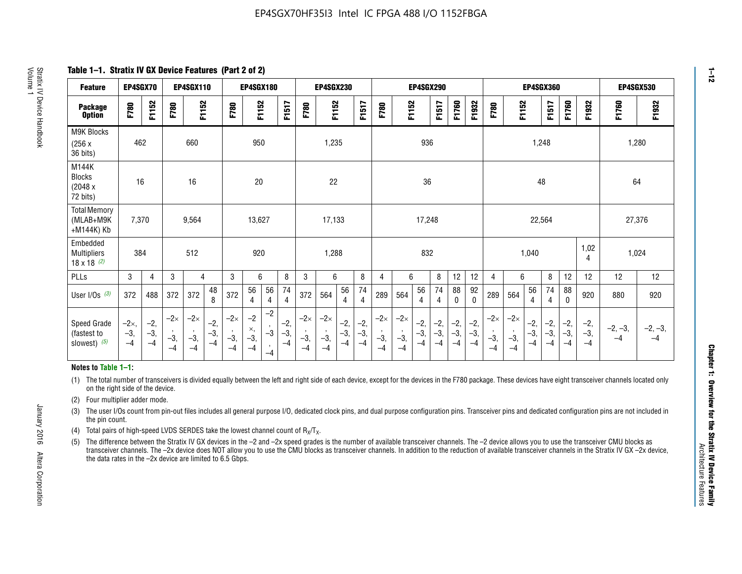**Table 1–1. Stratix IV GX Device Features (Part 2 of 2)**

| <b>Feature</b>                                  | EP4SGX70                      |                        |                             | <b>EP4SGX110</b>            |                        |                             | <b>EP4SGX180</b>            |                                 |                        |                                        | <b>EP4SGX230</b>            |                        |                        |                             |                                        |                      | <b>EP4SGX290</b>       |                      |                        |                             |                             |                        | <b>EP4SGX360</b>    |                      |                        | <b>EP4SGX530</b>  |                   |
|-------------------------------------------------|-------------------------------|------------------------|-----------------------------|-----------------------------|------------------------|-----------------------------|-----------------------------|---------------------------------|------------------------|----------------------------------------|-----------------------------|------------------------|------------------------|-----------------------------|----------------------------------------|----------------------|------------------------|----------------------|------------------------|-----------------------------|-----------------------------|------------------------|---------------------|----------------------|------------------------|-------------------|-------------------|
| <b>Package</b><br><b>Option</b>                 | F780                          | F1152                  | F780                        | F1152                       |                        | F780                        | F1152                       |                                 | F1517                  | <b>F780</b>                            | F1152                       |                        | F1517                  | F780                        | F1152                                  |                      | F1517                  | F1760                | F1932                  | F780                        | F1152                       |                        | F1517               | F1760                | F1932                  | F1760             | F1932             |
| M9K Blocks<br>(256 x)<br>36 bits)               | 462                           |                        |                             | 660                         |                        |                             | 950                         |                                 |                        |                                        | 1,235                       |                        |                        |                             |                                        | 936                  |                        |                      |                        |                             |                             | 1,248                  |                     |                      |                        | 1,280             |                   |
| M144K<br>Blocks<br>(2048 x)<br>72 bits)         | 16                            |                        |                             | 16                          |                        |                             | 20                          |                                 |                        |                                        | 22                          |                        |                        |                             |                                        | 36                   |                        |                      |                        |                             |                             | 48                     |                     |                      |                        | 64                |                   |
| <b>Total Memory</b><br>(MLAB+M9K<br>+M144K) Kb  | 7,370                         |                        |                             | 9,564                       |                        |                             | 13,627                      |                                 |                        |                                        | 17,133                      |                        |                        |                             |                                        | 17,248               |                        |                      |                        |                             |                             | 22,564                 |                     |                      |                        | 27,376            |                   |
| Embedded<br><b>Multipliers</b><br>18 x 18 $(2)$ | 384                           |                        |                             | 512                         |                        |                             | 920                         |                                 |                        |                                        | 1,288                       |                        |                        |                             |                                        | 832                  |                        |                      |                        |                             |                             | 1,040                  |                     |                      | 1,02<br>4              | 1,024             |                   |
| PLLs                                            | 3                             | $\overline{4}$         | 3                           | $\overline{4}$              |                        | 3                           | 6                           |                                 | 8                      | 3                                      | 6                           |                        | 8                      | 4                           | 6                                      |                      | 8                      | 12                   | 12                     | 4                           | 6                           |                        | 8                   | 12                   | 12                     | 12                | 12                |
| User I/Os $(3)$                                 | 372                           | 488                    | 372                         | 372                         | 48<br>8                | 372                         | 56<br>4                     | 56<br>4                         | 74<br>4                | 372                                    | 564                         | 56<br>$\overline{4}$   | 74<br>$\overline{4}$   | 289                         | 564                                    | 56<br>4              | 74<br>4                | 88<br>0              | 92<br>$\mathbf 0$      | 289                         | 564                         | 56<br>4                | 74<br>4             | 88<br>$\mathbf{0}$   | 920                    | 880               | 920               |
| Speed Grade<br>(fastest to<br>slowest) (5)      | $-2\times$ ,<br>$-3,$<br>$-4$ | $-2,$<br>$-3,$<br>$-4$ | $-2\times$<br>$-3,$<br>$-4$ | $-2\times$<br>$-3,$<br>$-4$ | $-2,$<br>$-3,$<br>$-4$ | $-2\times$<br>$-3,$<br>$-4$ | $-2$<br>×,<br>$-3,$<br>$-4$ | $-2$<br>$-3$<br>$\cdot$<br>$-4$ | $-2,$<br>$-3,$<br>$-4$ | $-2\times$<br>$\cdot$<br>$-3,$<br>$-4$ | $-2\times$<br>$-3,$<br>$-4$ | $-2,$<br>$-3,$<br>$-4$ | $-2,$<br>$-3,$<br>$-4$ | $-2\times$<br>$-3,$<br>$-4$ | $-2\times$<br>$\cdot$<br>$-3,$<br>$-4$ | $-2,$<br>$-3,$<br>-4 | $-2,$<br>$-3,$<br>$-4$ | $-2,$<br>-3,<br>$-4$ | $-2,$<br>$-3,$<br>$-4$ | $-2\times$<br>$-3,$<br>$-4$ | $-2\times$<br>$-3,$<br>$-4$ | $-2,$<br>$-3,$<br>$-4$ | $-2,$<br>$-3$<br>-4 | -2,<br>$-3,$<br>$-4$ | $-2,$<br>$-3,$<br>$-4$ | $-2, -3,$<br>$-4$ | $-2, -3,$<br>$-4$ |

#### **Notes to Table 1–1:**

(1) The total number of transceivers is divided equally between the left and right side of each device, except for the devices in the F780 package. These devices have eight transceiver channels located only on the right side of the device.

(2) Four multiplier adder mode.

(3) The user I/Os count from pin-out files includes all general purpose I/O, dedicated clock pins, and dual purpose configuration pins. Transceiver pins and dedicated configuration pins are not included in the pin count.

- (4) Total pairs of high-speed LVDS SERDES take the lowest channel count of  $R_X/T_X$ .
- (5) The difference between the Stratix IV GX devices in the –2 and –2x speed grades is the number of available transceiver channels. The –2 device allows you to use the transceiver CMU blocks as transceiver channels. The –2x device does NOT allow you to use the CMU blocks as transceiver channels. In addition to the reduction of available transceiver channels in the Stratix IV GX –2x device, the data rates in the –2x device are limited to 6.5 Gbps.

**1–12**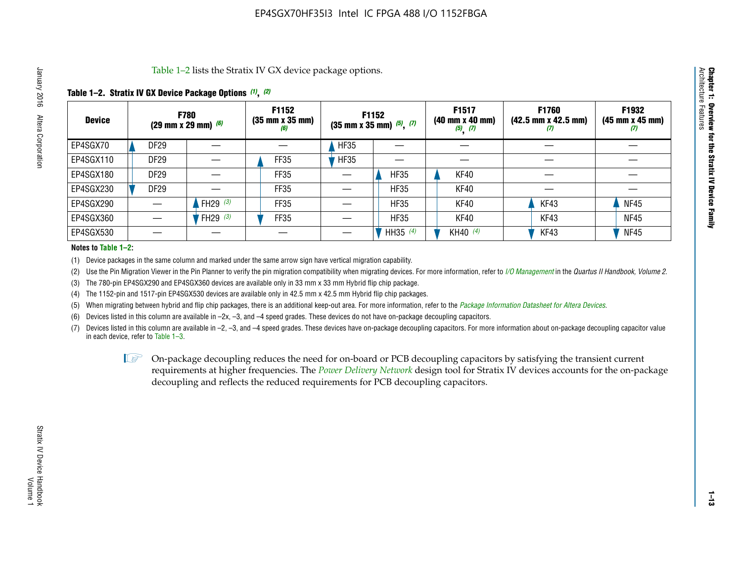Table 1–2 lists the Stratix IV GX device package options.

## **Table 1–2. Stratix IV GX Device Package Options** *(1)***,** *(2)*

| <b>Device</b> | <b>F780</b><br>(29 mm x 29 mm) $(6)$ |            | F1152<br>$(35 \, \text{mm} \times 35 \, \text{mm})$<br>(6) |             | F1152<br>$(35$ mm x 35 mm) $(5)$ , $(7)$ | F1517<br>$(40 \, \text{mm} \times 40 \, \text{mm})$<br>$(5)$ $(7)$ | <b>F1760</b><br>$(42.5 \text{ mm} \times 42.5 \text{ mm})$<br>$\boldsymbol{U}$ | F1932<br>$(45 \, \text{mm} \times 45 \, \text{mm})$<br>(7) |
|---------------|--------------------------------------|------------|------------------------------------------------------------|-------------|------------------------------------------|--------------------------------------------------------------------|--------------------------------------------------------------------------------|------------------------------------------------------------|
| EP4SGX70      | <b>DF29</b>                          |            |                                                            | <b>HF35</b> |                                          |                                                                    |                                                                                |                                                            |
| EP4SGX110     | DF <sub>29</sub>                     |            | FF35                                                       | <b>HF35</b> |                                          |                                                                    |                                                                                |                                                            |
| EP4SGX180     | <b>DF29</b>                          |            | FF35                                                       |             | <b>HF35</b>                              | KF40                                                               |                                                                                |                                                            |
| EP4SGX230     | DF <sub>29</sub>                     |            | FF35                                                       |             | <b>HF35</b>                              | KF40                                                               |                                                                                |                                                            |
| EP4SGX290     |                                      | FH29 $(3)$ | <b>FF35</b>                                                |             | <b>HF35</b>                              | KF40                                                               | KF43                                                                           | <b>NF45</b>                                                |
| EP4SGX360     |                                      | FH29 $(3)$ | FF35                                                       |             | <b>HF35</b>                              | KF40                                                               | KF43                                                                           | <b>NF45</b>                                                |
| EP4SGX530     |                                      |            |                                                            |             | HH35 $(4)$                               | KH40 (4)                                                           | KF43                                                                           | <b>NF45</b>                                                |

#### **Notes to Table 1–2:**

(1) Device packages in the same column and marked under the same arrow sign have vertical migration capability.

(2) Use the Pin Migration Viewer in the Pin Planner to verify the pin migration compatibility when migrating devices. For more information, refer to *[I/O Management](http://www.altera.com/literature/hb/qts/qts_qii52013.pdf)* in the *Quartus II Handbook, Volume 2*.

(3) The 780-pin EP4SGX290 and EP4SGX360 devices are available only in 33 mm x 33 mm Hybrid flip chip package.

(4) The 1152-pin and 1517-pin EP4SGX530 devices are available only in 42.5 mm x 42.5 mm Hybrid flip chip packages.

(5) When migrating between hybrid and flip chip packages, there is an additional keep-out area. For more information, refer to the *[Package Information Datasheet for Altera Devices](http://www.altera.com/literature/ds/dspkg.pdf)*.

(6) Devices listed in this column are available in –2x, –3, and –4 speed grades. These devices do not have on-package decoupling capacitors.

(7) Devices listed in this column are available in –2, –3, and –4 speed grades. These devices have on-package decoupling capacitors. For more information about on-package decoupling capacitor value in each device, refer to Table 1–3.

 $\mathbb{L}$ s On-package decoupling reduces the need for on-board or PCB decoupling capacitors by satisfying the transient current requirements at higher frequencies. The *[Power Delivery Network](http://www.altera.com/literature/ug/pdn_tool_stxiv.zip)* design tool for Stratix IV devices accounts for the on-package decoupling and reflects the reduced requirements for PCB decoupling capacitors.

**Chapter 1: Overview for the Stratix IV Device Family**

Chapter 1: Overview for the Stratix IV Device Family<br>Architecture Features

Architecture Features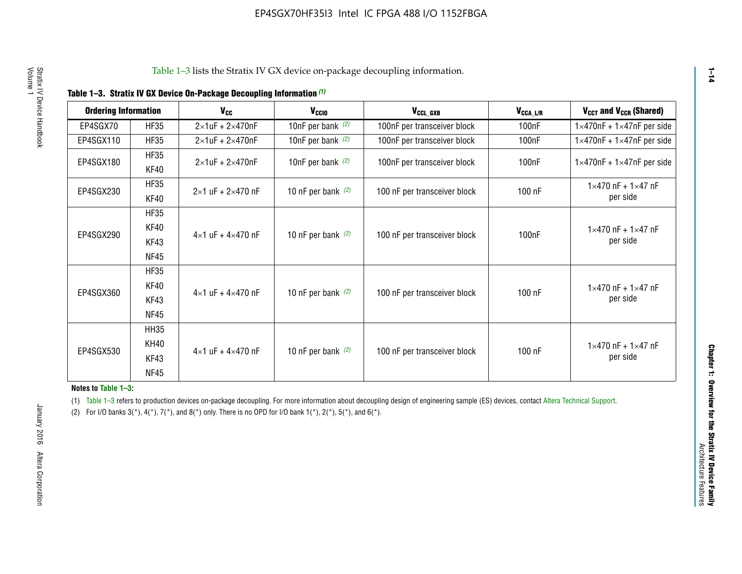|  | Table 1-3. Stratix IV GX Device On-Package Decoupling Information (1) |  |  |
|--|-----------------------------------------------------------------------|--|--|
|--|-----------------------------------------------------------------------|--|--|

| <b>Ordering Information</b> |                     | $V_{cc}$                            | V <sub>CCIO</sub>    | V <sub>CCL_GXB</sub>         | $V_{\texttt{CCA}\_\textsf{L/R}}$ | V <sub>CCT</sub> and V <sub>CCR</sub> (Shared)   |
|-----------------------------|---------------------|-------------------------------------|----------------------|------------------------------|----------------------------------|--------------------------------------------------|
| EP4SGX70                    | <b>HF35</b>         | $2\times1$ uF + $2\times470$ nF     | 10nF per bank $(2)$  | 100nF per transceiver block  | 100 <sub>n</sub> F               | $1\times470$ nF + $1\times47$ nF per side        |
| EP4SGX110                   | <b>HF35</b>         | $2\times1$ uF + $2\times470$ nF     | 10nF per bank $(2)$  | 100nF per transceiver block  | 100 <sub>n</sub> F               | $1\times470$ nF + $1\times47$ nF per side        |
| EP4SGX180                   | <b>HF35</b><br>KF40 | $2\times1$ uF + $2\times470$ nF     | 10nF per bank $(2)$  | 100nF per transceiver block  | 100 <sub>n</sub> F               | $1\times470$ nF + $1\times47$ nF per side        |
| EP4SGX230                   | <b>HF35</b><br>KF40 | $2 \times 1$ uF + $2 \times 470$ nF | 10 nF per bank $(2)$ | 100 nF per transceiver block | 100 nF                           | $1 \times 470$ nF + $1 \times 47$ nF<br>per side |
|                             | <b>HF35</b>         |                                     |                      |                              |                                  |                                                  |
| EP4SGX290                   | KF40<br>KF43        | $4\times1$ uF + $4\times470$ nF     | 10 nF per bank $(2)$ | 100 nF per transceiver block | 100 <sub>n</sub> F               | $1 \times 470$ nF + $1 \times 47$ nF<br>per side |
|                             | <b>NF45</b>         |                                     |                      |                              |                                  |                                                  |
|                             | <b>HF35</b>         |                                     |                      |                              |                                  |                                                  |
| EP4SGX360                   | KF40                | $4 \times 1$ uF + $4 \times 470$ nF | 10 nF per bank $(2)$ | 100 nF per transceiver block | 100 nF                           | $1 \times 470$ nF + $1 \times 47$ nF             |
|                             | KF43                |                                     |                      |                              |                                  | per side                                         |
|                             | <b>NF45</b>         |                                     |                      |                              |                                  |                                                  |
|                             | <b>HH35</b>         |                                     |                      |                              |                                  |                                                  |
|                             | KH40                |                                     |                      |                              |                                  | $1 \times 470$ nF + $1 \times 47$ nF             |
| EP4SGX530                   | KF43                | $4\times1$ uF + $4\times470$ nF     | 10 nF per bank $(2)$ | 100 nF per transceiver block | 100 nF                           | per side                                         |
|                             | <b>NF45</b>         |                                     |                      |                              |                                  |                                                  |

**Notes to Table 1–3:**

(1) Table 1-3 refers to production devices on-package decoupling. For more information about decoupling design of engineering sample (ES) devices, contact [Altera Technical Support](http://mysupport.altera.com/eservice/login.asp).

(2) For I/O banks  $3(*)$ ,  $4(*)$ ,  $7(*)$ , and  $8(*)$  only. There is no OPD for I/O bank  $1(*)$ ,  $2(*)$ ,  $5(*)$ , and  $6(*)$ .

**1–14**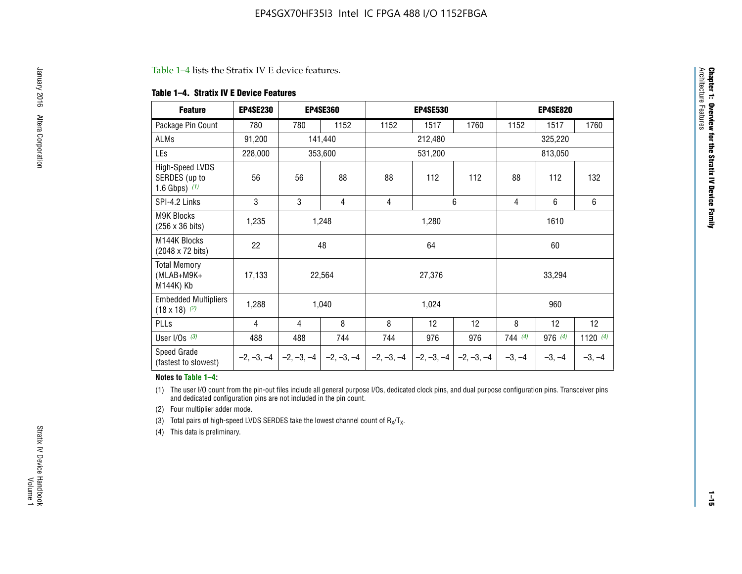#### Table 1–4 lists the Stratix IV E device features.

#### **Table 1–4. Stratix IV E Device Features**

| <b>Feature</b>                                      | <b>EP4SE230</b> |     | <b>EP4SE360</b>                          |              | <b>EP4SE530</b> |              |          | <b>EP4SE820</b> |            |
|-----------------------------------------------------|-----------------|-----|------------------------------------------|--------------|-----------------|--------------|----------|-----------------|------------|
| Package Pin Count                                   | 780             | 780 | 1152                                     | 1152         | 1517            | 1760         | 1152     | 1517            | 1760       |
| <b>ALMs</b>                                         | 91,200          |     | 141,440                                  |              | 212,480         |              |          | 325,220         |            |
| <b>LEs</b>                                          | 228,000         |     | 353,600                                  |              | 531,200         |              |          | 813,050         |            |
| High-Speed LVDS<br>SERDES (up to<br>1.6 Gbps) $(1)$ | 56              | 56  | 88                                       | 88           | 112             | 112          | 88       | 112             | 132        |
| SPI-4.2 Links                                       | 3               | 3   | 4                                        | 4            |                 | 6            | 4        | 6               | 6          |
| <b>M9K Blocks</b><br>(256 x 36 bits)                | 1,235           |     | 1,248                                    |              | 1,280           |              |          | 1610            |            |
| M144K Blocks<br>(2048 x 72 bits)                    | 22              |     | 48                                       |              | 64              |              |          | 60              |            |
| <b>Total Memory</b><br>$(MLAB+M9K+$<br>M144K) Kb    | 17,133          |     | 22,564                                   |              | 27,376          |              |          | 33,294          |            |
| <b>Embedded Multipliers</b><br>$(18 \times 18)$ (2) | 1,288           |     | 1,040                                    |              | 1,024           |              |          | 960             |            |
| PLLs                                                | 4               | 4   | 8                                        | 8            | 12              | 12           | 8        | 12              | 12         |
| User I/Os $(3)$                                     | 488             | 488 | 744                                      | 744          | 976             | 976          | 744(4)   | 976 (4)         | 1120 $(4)$ |
| Speed Grade<br>(fastest to slowest)                 |                 |     | $-2, -3, -4$ $ -2, -3, -4$ $ -2, -3, -4$ | $-2, -3, -4$ | $-2, -3, -4$    | $-2, -3, -4$ | $-3, -4$ | $-3, -4$        | $-3, -4$   |

#### **Notes to Table 1–4:**

(1) The user I/O count from the pin-out files include all general purpose I/Os, dedicated clock pins, and dual purpose configuration pins. Transceiver pins and dedicated configuration pins are not included in the pin count.

(2) Four multiplier adder mode.

(3) Total pairs of high-speed LVDS SERDES take the lowest channel count of  $R_X/T_X$ .

(4) This data is preliminary.

**Chapter 1: Overview for the Stratix IV Device Family**

**Chapter 1: Overview for the Stratix IV Device Family**<br>Architecture Faatures

Architecture Features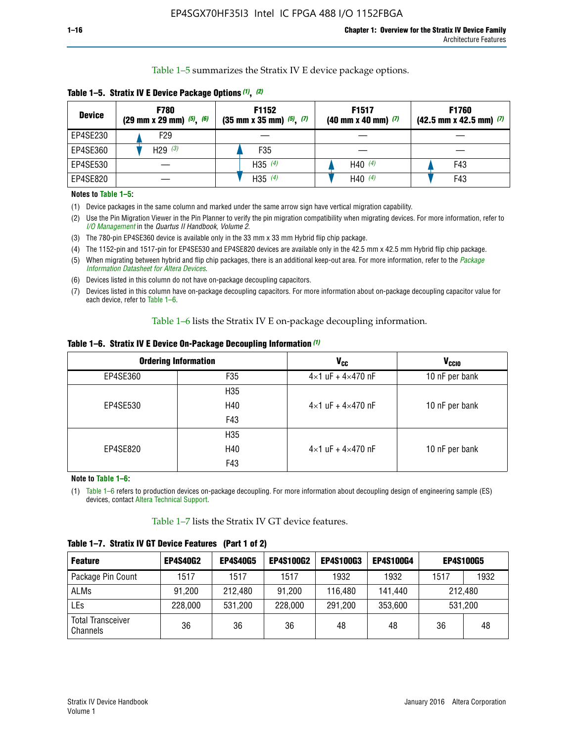Table 1–5 summarizes the Stratix IV E device package options.

| <b>Device</b> | <b>F780</b><br>$(29 \text{ mm} \times 29 \text{ mm})$ $(5)$ , $(6)$ | F1152<br>$(35 \text{ mm} \times 35 \text{ mm})$ $(5)$ , $(7)$ | F <sub>1517</sub><br>$(40 \text{ mm} \times 40 \text{ mm})$ (7) | <b>F1760</b><br>$(42.5$ mm x 42.5 mm) $(7)$ |
|---------------|---------------------------------------------------------------------|---------------------------------------------------------------|-----------------------------------------------------------------|---------------------------------------------|
| EP4SE230      | F <sub>29</sub>                                                     |                                                               |                                                                 |                                             |
| EP4SE360      | H29 $(3)$                                                           | F35                                                           |                                                                 |                                             |
| EP4SE530      |                                                                     | H35 $(4)$                                                     | H40 $(4)$                                                       | F43                                         |
| EP4SE820      |                                                                     | H35 $(4)$                                                     | H40 $(4)$                                                       | F43                                         |

**Table 1–5. Stratix IV E Device Package Options** *(1)***,** *(2)*

#### **Notes to Table 1–5:**

(1) Device packages in the same column and marked under the same arrow sign have vertical migration capability.

(2) Use the Pin Migration Viewer in the Pin Planner to verify the pin migration compatibility when migrating devices. For more information, refer to *[I/O Management](http://www.altera.com/literature/hb/qts/qts_qii52013.pdf)* in the *Quartus II Handbook, Volume 2*.

(3) The 780-pin EP4SE360 device is available only in the 33 mm x 33 mm Hybrid flip chip package.

(4) The 1152-pin and 1517-pin for EP4SE530 and EP4SE820 devices are available only in the 42.5 mm x 42.5 mm Hybrid flip chip package.

(5) When migrating between hybrid and flip chip packages, there is an additional keep-out area. For more information, refer to the *[Package](http://www.altera.com/literature/ds/dspkg.pdf)  [Information Datasheet for Altera Devices](http://www.altera.com/literature/ds/dspkg.pdf)*.

(6) Devices listed in this column do not have on-package decoupling capacitors.

(7) Devices listed in this column have on-package decoupling capacitors. For more information about on-package decoupling capacitor value for each device, refer to Table 1–6.

Table 1–6 lists the Stratix IV E on-package decoupling information.

| Table 1–6. Stratix IV E Device On-Package Decoupling Information (1) |  |  |  |  |  |
|----------------------------------------------------------------------|--|--|--|--|--|
|----------------------------------------------------------------------|--|--|--|--|--|

|          | <b>Ordering Information</b> | V <sub>cc</sub>                     | <b>V<sub>CCIO</sub></b> |
|----------|-----------------------------|-------------------------------------|-------------------------|
| EP4SE360 | F <sub>35</sub>             | $4 \times 1$ uF + $4 \times 470$ nF | 10 nF per bank          |
|          | H35                         |                                     |                         |
| EP4SE530 | H40                         | $4\times1$ uF + $4\times470$ nF     | 10 nF per bank          |
|          | F43                         |                                     |                         |
|          | H35                         |                                     |                         |
| EP4SE820 | H40                         | $4\times1$ uF + $4\times470$ nF     | 10 nF per bank          |
|          | F43                         |                                     |                         |

**Note to Table 1–6:**

(1) Table 1–6 refers to production devices on-package decoupling. For more information about decoupling design of engineering sample (ES) devices, contact [Altera Technical Support](http://mysupport.altera.com/eservice/login.asp).

Table 1–7 lists the Stratix IV GT device features.

| <b>Feature</b>                       | <b>EP4S40G2</b> | <b>EP4S40G5</b> | <b>EP4S100G2</b> | <b>EP4S100G3</b> | <b>EP4S100G4</b> | <b>EP4S100G5</b> |      |
|--------------------------------------|-----------------|-----------------|------------------|------------------|------------------|------------------|------|
| Package Pin Count                    | 1517            | 1517            | 1517             | 1932             | 1932             | 1517             | 1932 |
| <b>ALMs</b>                          | 91,200          | 212,480         | 91,200           | 116,480          | 141,440          | 212.480          |      |
| LEs                                  | 228,000         | 531,200         | 228,000          | 291,200          | 353,600          | 531,200          |      |
| <b>Total Transceiver</b><br>Channels | 36              | 36              | 36               | 48               | 48               | 36               | 48   |

**Table 1–7. Stratix IV GT Device Features (Part 1 of 2)**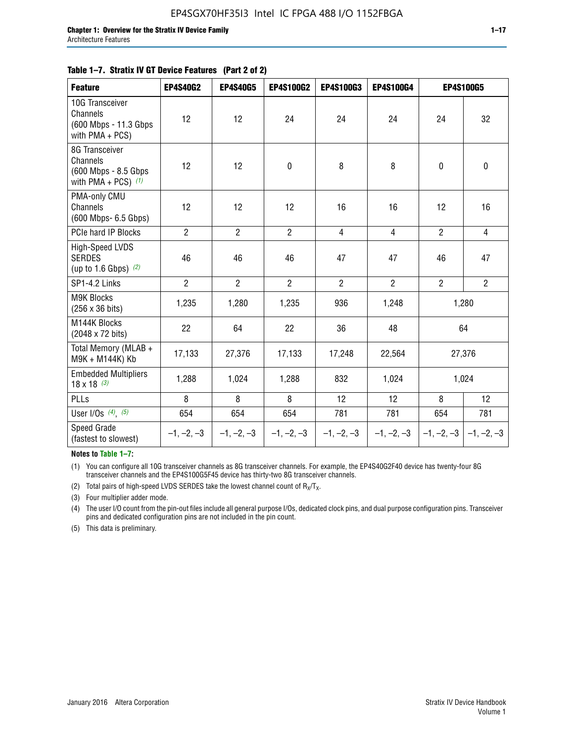| <b>Feature</b>                                                               | <b>EP4S40G2</b> | <b>EP4S40G5</b> | <b>EP4S100G2</b> | <b>EP4S100G3</b> | <b>EP4S100G4</b> | <b>EP4S100G5</b>          |                |
|------------------------------------------------------------------------------|-----------------|-----------------|------------------|------------------|------------------|---------------------------|----------------|
| 10G Transceiver<br>Channels<br>(600 Mbps - 11.3 Gbps)<br>with $PMA + PCS$ )  | 12              | 12              | 24               | 24               | 24               | 24                        | 32             |
| 8G Transceiver<br>Channels<br>(600 Mbps - 8.5 Gbps)<br>with PMA + PCS) $(1)$ | 12              | 12              | $\pmb{0}$        | 8                | 8                | $\mathbf 0$               | 0              |
| PMA-only CMU<br>Channels<br>(600 Mbps- 6.5 Gbps)                             | 12              | 12              | 12               | 16               | 16               | 12                        | 16             |
| PCIe hard IP Blocks                                                          | $\overline{2}$  | $\overline{2}$  | $\overline{2}$   | $\overline{4}$   | $\overline{4}$   | $\overline{2}$            | $\overline{4}$ |
| <b>High-Speed LVDS</b><br><b>SERDES</b><br>(up to 1.6 Gbps) $(2)$            | 46              | 46              | 46               | 47               | 47               | 46                        | 47             |
| SP1-4.2 Links                                                                | $\overline{2}$  | $\overline{2}$  | $\overline{2}$   | $\overline{2}$   | $\overline{2}$   | $\overline{2}$            | $2^{\circ}$    |
| <b>M9K Blocks</b><br>(256 x 36 bits)                                         | 1,235           | 1,280           | 1,235            | 936              | 1,248            |                           | 1,280          |
| M144K Blocks<br>(2048 x 72 bits)                                             | 22              | 64              | 22               | 36               | 48               |                           | 64             |
| Total Memory (MLAB +<br>M9K + M144K) Kb                                      | 17,133          | 27,376          | 17,133           | 17,248           | 22,564           |                           | 27,376         |
| <b>Embedded Multipliers</b><br>$18 \times 18^{(3)}$                          | 1,288           | 1,024           | 1,288            | 832              | 1,024            |                           | 1,024          |
| PLLs                                                                         | 8               | 8               | 8                | 12               | 12               | 8                         | 12             |
| User I/Os $(4)$ , $(5)$                                                      | 654             | 654             | 654              | 781              | 781              | 654                       | 781            |
| Speed Grade<br>(fastest to slowest)                                          | $-1, -2, -3$    | $-1, -2, -3$    | $-1, -2, -3$     | $-1, -2, -3$     | $-1, -2, -3$     | $-1, -2, -3$ $-1, -2, -3$ |                |

**Notes to Table 1–7:**

(1) You can configure all 10G transceiver channels as 8G transceiver channels. For example, the EP4S40G2F40 device has twenty-four 8G transceiver channels and the EP4S100G5F45 device has thirty-two 8G transceiver channels.

(2) Total pairs of high-speed LVDS SERDES take the lowest channel count of  $R_X/T_X$ .

(3) Four multiplier adder mode.

(4) The user I/O count from the pin-out files include all general purpose I/Os, dedicated clock pins, and dual purpose configuration pins. Transceiver pins and dedicated configuration pins are not included in the pin count.

(5) This data is preliminary.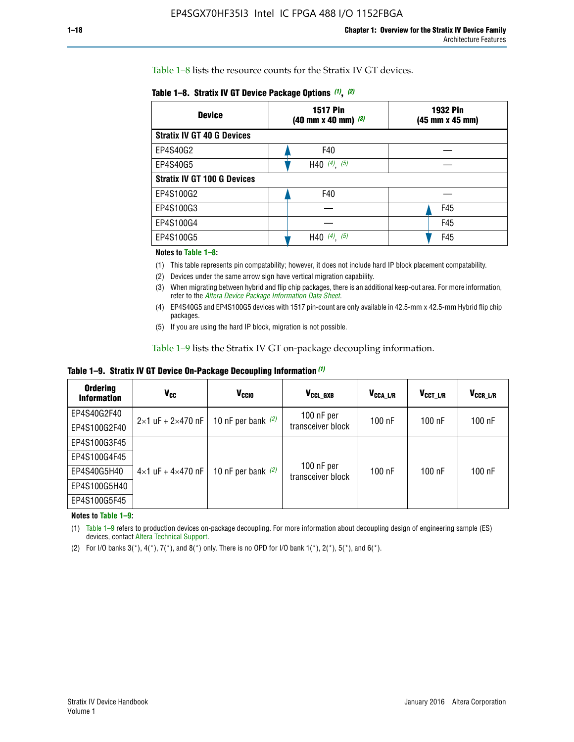Table 1–8 lists the resource counts for the Stratix IV GT devices.

| <b>Device</b>                      | <b>1517 Pin</b><br>$(40 \text{ mm} \times 40 \text{ mm})$ $(3)$ | <b>1932 Pin</b><br>(45 mm x 45 mm) |  |
|------------------------------------|-----------------------------------------------------------------|------------------------------------|--|
| <b>Stratix IV GT 40 G Devices</b>  |                                                                 |                                    |  |
| EP4S40G2                           | F40                                                             |                                    |  |
| EP4S40G5                           | H40 $(4)$ , $(5)$                                               |                                    |  |
| <b>Stratix IV GT 100 G Devices</b> |                                                                 |                                    |  |
| EP4S100G2                          | F40                                                             |                                    |  |
| EP4S100G3                          |                                                                 | F45                                |  |
| EP4S100G4                          |                                                                 | F45                                |  |
| EP4S100G5                          | (5)<br>$(4)$ ,<br>H40                                           | F45                                |  |

#### **Notes to Table 1–8:**

(1) This table represents pin compatability; however, it does not include hard IP block placement compatability.

- (2) Devices under the same arrow sign have vertical migration capability.
- (3) When migrating between hybrid and flip chip packages, there is an additional keep-out area. For more information, refer to the *[Altera Device Package Information Data Sheet](http://www.altera.com/literature/ds/dspkg.pdf)*.
- (4) EP4S40G5 and EP4S100G5 devices with 1517 pin-count are only available in 42.5-mm x 42.5-mm Hybrid flip chip packages.
- (5) If you are using the hard IP block, migration is not possible.

Table 1–9 lists the Stratix IV GT on-package decoupling information.

**Table 1–9. Stratix IV GT Device On-Package Decoupling Information** *(1)*

| <b>Ordering</b><br><b>Information</b> | Vcc                                 | <b>V<sub>CCIO</sub></b> | V <sub>CCL GXB</sub>            | V <sub>CCA_L/R</sub> | V <sub>CCT L/R</sub> | V <sub>CCR_L/R</sub> |
|---------------------------------------|-------------------------------------|-------------------------|---------------------------------|----------------------|----------------------|----------------------|
| EP4S40G2F40                           | $2 \times 1$ uF + $2 \times 470$ nF | 10 nF per bank $(2)$    | 100 nF per<br>transceiver block | $100$ nF             | 100 nF               | 100 nF               |
| EP4S100G2F40                          |                                     |                         |                                 |                      |                      |                      |
| EP4S100G3F45                          |                                     | 10 nF per bank $(2)$    | 100 nF per<br>transceiver block | $100$ nF             | $100$ nF             | $100$ nF             |
| EP4S100G4F45                          |                                     |                         |                                 |                      |                      |                      |
| EP4S40G5H40                           | $4 \times 1$ uF + $4 \times 470$ nF |                         |                                 |                      |                      |                      |
| EP4S100G5H40                          |                                     |                         |                                 |                      |                      |                      |
| EP4S100G5F45                          |                                     |                         |                                 |                      |                      |                      |

**Notes to Table 1–9:**

(1) Table 1–9 refers to production devices on-package decoupling. For more information about decoupling design of engineering sample (ES) devices, contact [Altera Technical Support](http://mysupport.altera.com/eservice/login.asp).

(2) For I/O banks  $3(*)$ ,  $4(*)$ ,  $7(*)$ , and  $8(*)$  only. There is no OPD for I/O bank  $1(*)$ ,  $2(*)$ ,  $5(*)$ , and  $6(*)$ .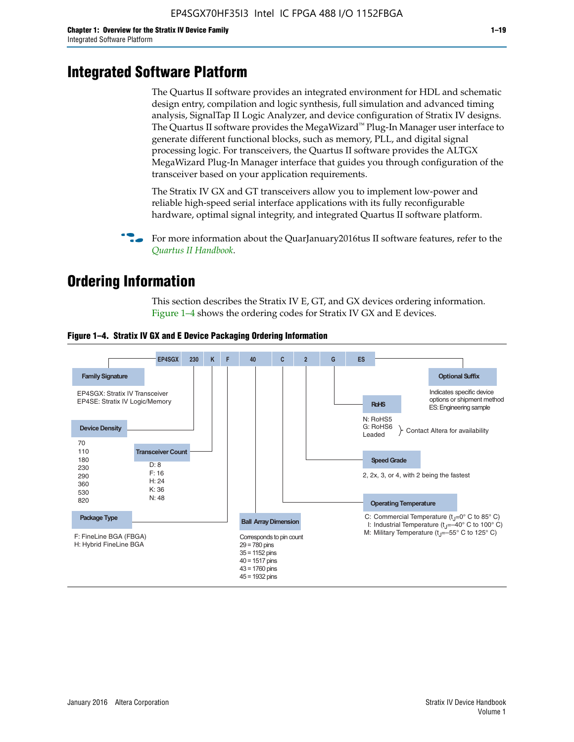# **Integrated Software Platform**

The Quartus II software provides an integrated environment for HDL and schematic design entry, compilation and logic synthesis, full simulation and advanced timing analysis, SignalTap II Logic Analyzer, and device configuration of Stratix IV designs. The Quartus II software provides the MegaWizard<sup> $M$ </sup> Plug-In Manager user interface to generate different functional blocks, such as memory, PLL, and digital signal processing logic. For transceivers, the Quartus II software provides the ALTGX MegaWizard Plug-In Manager interface that guides you through configuration of the transceiver based on your application requirements.

The Stratix IV GX and GT transceivers allow you to implement low-power and reliable high-speed serial interface applications with its fully reconfigurable hardware, optimal signal integrity, and integrated Quartus II software platform.

For more information about the QuarJanuary2016tus II software features, refer to the *[Quartus II Handbook](http://www.altera.com/literature/lit-qts.jsp)*.

# **Ordering Information**

This section describes the Stratix IV E, GT, and GX devices ordering information. Figure 1–4 shows the ordering codes for Stratix IV GX and E devices.



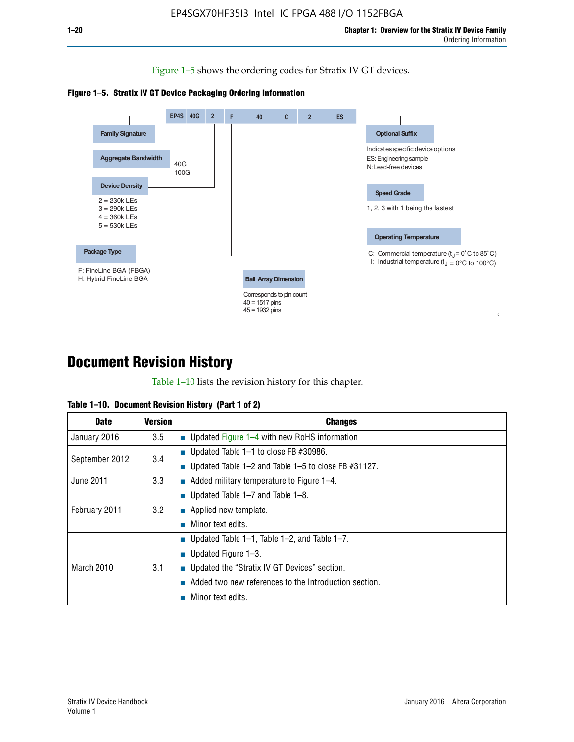Figure 1–5 shows the ordering codes for Stratix IV GT devices.





# **Document Revision History**

Table 1–10 lists the revision history for this chapter.

| <b>Date</b>       | <b>Version</b> | <b>Changes</b>                                              |
|-------------------|----------------|-------------------------------------------------------------|
| January 2016      | 3.5            | ■ Updated Figure 1–4 with new RoHS information              |
| September 2012    | 3.4            | ■ Updated Table 1–1 to close FB $#30986$ .                  |
|                   |                | Updated Table $1-2$ and Table $1-5$ to close FB $\#31127$ . |
| June 2011         | 3.3            | $\blacksquare$ Added military temperature to Figure 1–4.    |
| February 2011     | 3.2            | ■ Updated Table 1–7 and Table 1–8.                          |
|                   |                | $\blacksquare$ Applied new template.                        |
|                   |                | Minor text edits.                                           |
| <b>March 2010</b> | 3.1            | <b>Updated Table 1–1, Table 1–2, and Table 1–7.</b>         |
|                   |                | <b>U</b> Updated Figure 1–3.                                |
|                   |                | ■ Updated the "Stratix IV GT Devices" section.              |
|                   |                | Added two new references to the Introduction section.       |
|                   |                | Minor text edits.                                           |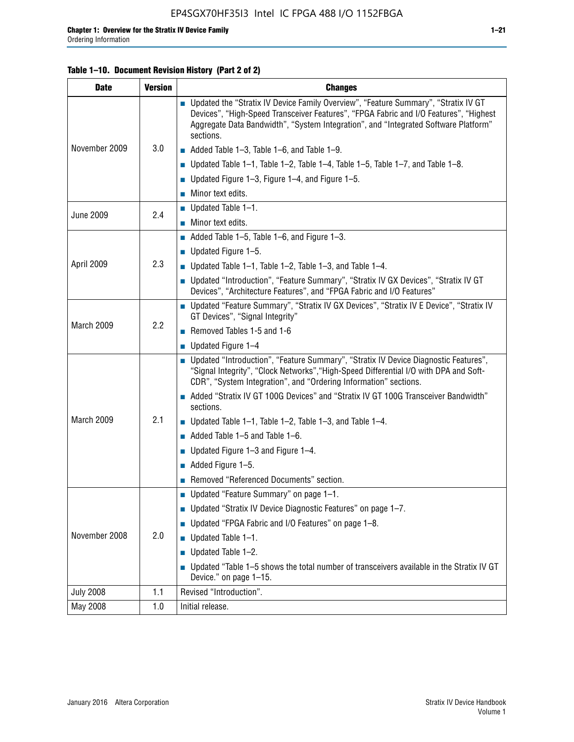#### **Table 1–10. Document Revision History (Part 2 of 2)**

| <b>Date</b>      | <b>Version</b> | <b>Changes</b>                                                                                                                                                                                                                                                                    |  |
|------------------|----------------|-----------------------------------------------------------------------------------------------------------------------------------------------------------------------------------------------------------------------------------------------------------------------------------|--|
| November 2009    | 3.0            | ■ Updated the "Stratix IV Device Family Overview", "Feature Summary", "Stratix IV GT<br>Devices", "High-Speed Transceiver Features", "FPGA Fabric and I/O Features", "Highest<br>Aggregate Data Bandwidth", "System Integration", and "Integrated Software Platform"<br>sections. |  |
|                  |                | $\blacksquare$ Added Table 1-3, Table 1-6, and Table 1-9.                                                                                                                                                                                                                         |  |
|                  |                | $\blacksquare$ Updated Table 1-1, Table 1-2, Table 1-4, Table 1-5, Table 1-7, and Table 1-8.                                                                                                                                                                                      |  |
|                  |                | ■ Updated Figure 1–3, Figure 1–4, and Figure 1–5.                                                                                                                                                                                                                                 |  |
|                  |                | $\blacksquare$ Minor text edits.                                                                                                                                                                                                                                                  |  |
|                  | 2.4            | $\blacksquare$ Updated Table 1-1.                                                                                                                                                                                                                                                 |  |
| <b>June 2009</b> |                | Minor text edits.                                                                                                                                                                                                                                                                 |  |
|                  | 2.3            | $\blacksquare$ Added Table 1–5, Table 1–6, and Figure 1–3.                                                                                                                                                                                                                        |  |
|                  |                | $\blacksquare$ Updated Figure 1-5.                                                                                                                                                                                                                                                |  |
| April 2009       |                | Updated Table $1-1$ , Table $1-2$ , Table $1-3$ , and Table $1-4$ .                                                                                                                                                                                                               |  |
|                  |                | ■ Updated "Introduction", "Feature Summary", "Stratix IV GX Devices", "Stratix IV GT<br>Devices", "Architecture Features", and "FPGA Fabric and I/O Features"                                                                                                                     |  |
| March 2009       | 2.2            | ■ Updated "Feature Summary", "Stratix IV GX Devices", "Stratix IV E Device", "Stratix IV<br>GT Devices", "Signal Integrity"                                                                                                                                                       |  |
|                  |                | Removed Tables 1-5 and 1-6                                                                                                                                                                                                                                                        |  |
|                  |                | Updated Figure 1-4                                                                                                                                                                                                                                                                |  |
|                  |                | ■ Updated "Introduction", "Feature Summary", "Stratix IV Device Diagnostic Features",<br>"Signal Integrity", "Clock Networks", "High-Speed Differential I/O with DPA and Soft-<br>CDR", "System Integration", and "Ordering Information" sections.                                |  |
|                  |                | Added "Stratix IV GT 100G Devices" and "Stratix IV GT 100G Transceiver Bandwidth"<br>sections.                                                                                                                                                                                    |  |
| March 2009       | 2.1            | <b>Updated Table 1–1, Table 1–2, Table 1–3, and Table 1–4.</b>                                                                                                                                                                                                                    |  |
|                  |                | $\blacksquare$ Added Table 1-5 and Table 1-6.                                                                                                                                                                                                                                     |  |
|                  |                | ■ Updated Figure $1-3$ and Figure $1-4$ .                                                                                                                                                                                                                                         |  |
|                  |                | $\blacksquare$ Added Figure 1-5.                                                                                                                                                                                                                                                  |  |
|                  |                | Removed "Referenced Documents" section.                                                                                                                                                                                                                                           |  |
|                  |                | Updated "Feature Summary" on page 1-1.                                                                                                                                                                                                                                            |  |
| November 2008    | 2.0            | ■ Updated "Stratix IV Device Diagnostic Features" on page 1-7.                                                                                                                                                                                                                    |  |
|                  |                | Updated "FPGA Fabric and I/O Features" on page 1-8.                                                                                                                                                                                                                               |  |
|                  |                | $\blacksquare$ Updated Table 1-1.                                                                                                                                                                                                                                                 |  |
|                  |                | Updated Table 1-2.                                                                                                                                                                                                                                                                |  |
|                  |                | Updated "Table 1-5 shows the total number of transceivers available in the Stratix IV GT<br>Device." on page 1-15.                                                                                                                                                                |  |
| <b>July 2008</b> | 1.1            | Revised "Introduction".                                                                                                                                                                                                                                                           |  |
| May 2008         | 1.0            | Initial release.                                                                                                                                                                                                                                                                  |  |